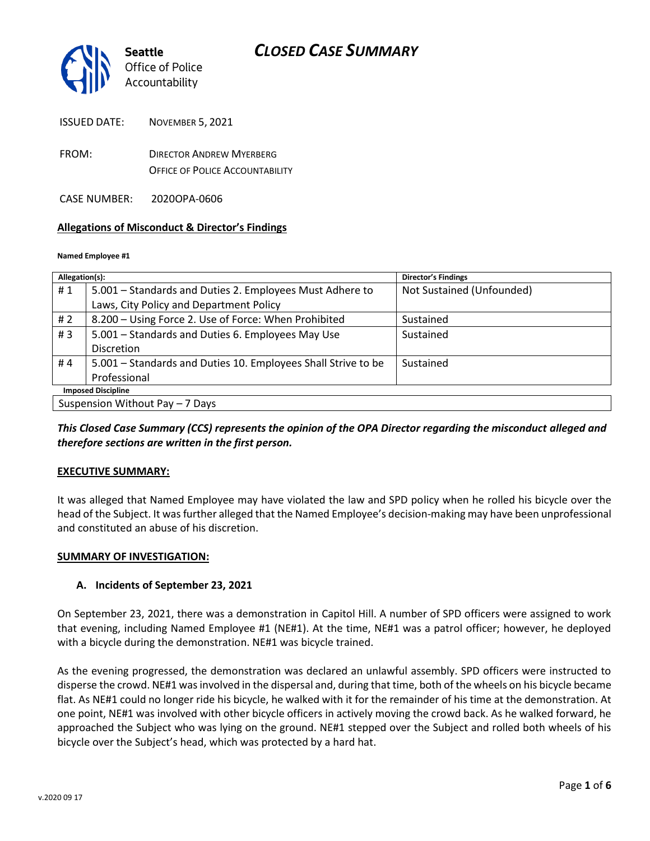

ISSUED DATE: NOVEMBER 5, 2021

- FROM: DIRECTOR ANDREW MYERBERG OFFICE OF POLICE ACCOUNTABILITY
- CASE NUMBER: 2020OPA-0606

### **Allegations of Misconduct & Director's Findings**

#### **Named Employee #1**

| Allegation(s):                  |                                                               | <b>Director's Findings</b> |
|---------------------------------|---------------------------------------------------------------|----------------------------|
| #1                              | 5.001 – Standards and Duties 2. Employees Must Adhere to      | Not Sustained (Unfounded)  |
|                                 | Laws, City Policy and Department Policy                       |                            |
| #2                              | 8.200 - Using Force 2. Use of Force: When Prohibited          | Sustained                  |
| #3                              | 5.001 - Standards and Duties 6. Employees May Use             | Sustained                  |
|                                 | Discretion                                                    |                            |
| #4                              | 5.001 – Standards and Duties 10. Employees Shall Strive to be | Sustained                  |
|                                 | Professional                                                  |                            |
| <b>Imposed Discipline</b>       |                                                               |                            |
| Suspension Without Pay - 7 Days |                                                               |                            |

*This Closed Case Summary (CCS) represents the opinion of the OPA Director regarding the misconduct alleged and therefore sections are written in the first person.* 

### **EXECUTIVE SUMMARY:**

It was alleged that Named Employee may have violated the law and SPD policy when he rolled his bicycle over the head of the Subject. It was further alleged that the Named Employee's decision-making may have been unprofessional and constituted an abuse of his discretion.

### **SUMMARY OF INVESTIGATION:**

### **A. Incidents of September 23, 2021**

On September 23, 2021, there was a demonstration in Capitol Hill. A number of SPD officers were assigned to work that evening, including Named Employee #1 (NE#1). At the time, NE#1 was a patrol officer; however, he deployed with a bicycle during the demonstration. NE#1 was bicycle trained.

As the evening progressed, the demonstration was declared an unlawful assembly. SPD officers were instructed to disperse the crowd. NE#1 was involved in the dispersal and, during that time, both of the wheels on his bicycle became flat. As NE#1 could no longer ride his bicycle, he walked with it for the remainder of his time at the demonstration. At one point, NE#1 was involved with other bicycle officers in actively moving the crowd back. As he walked forward, he approached the Subject who was lying on the ground. NE#1 stepped over the Subject and rolled both wheels of his bicycle over the Subject's head, which was protected by a hard hat.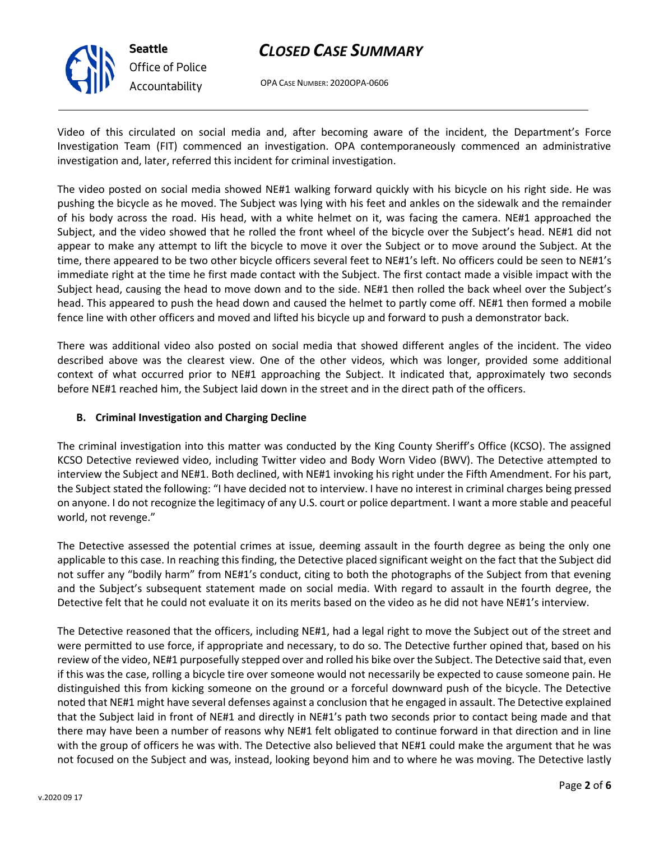

OPA CASE NUMBER: 2020OPA-0606

Video of this circulated on social media and, after becoming aware of the incident, the Department's Force Investigation Team (FIT) commenced an investigation. OPA contemporaneously commenced an administrative investigation and, later, referred this incident for criminal investigation.

The video posted on social media showed NE#1 walking forward quickly with his bicycle on his right side. He was pushing the bicycle as he moved. The Subject was lying with his feet and ankles on the sidewalk and the remainder of his body across the road. His head, with a white helmet on it, was facing the camera. NE#1 approached the Subject, and the video showed that he rolled the front wheel of the bicycle over the Subject's head. NE#1 did not appear to make any attempt to lift the bicycle to move it over the Subject or to move around the Subject. At the time, there appeared to be two other bicycle officers several feet to NE#1's left. No officers could be seen to NE#1's immediate right at the time he first made contact with the Subject. The first contact made a visible impact with the Subject head, causing the head to move down and to the side. NE#1 then rolled the back wheel over the Subject's head. This appeared to push the head down and caused the helmet to partly come off. NE#1 then formed a mobile fence line with other officers and moved and lifted his bicycle up and forward to push a demonstrator back.

There was additional video also posted on social media that showed different angles of the incident. The video described above was the clearest view. One of the other videos, which was longer, provided some additional context of what occurred prior to NE#1 approaching the Subject. It indicated that, approximately two seconds before NE#1 reached him, the Subject laid down in the street and in the direct path of the officers.

## **B. Criminal Investigation and Charging Decline**

The criminal investigation into this matter was conducted by the King County Sheriff's Office (KCSO). The assigned KCSO Detective reviewed video, including Twitter video and Body Worn Video (BWV). The Detective attempted to interview the Subject and NE#1. Both declined, with NE#1 invoking his right under the Fifth Amendment. For his part, the Subject stated the following: "I have decided not to interview. I have no interest in criminal charges being pressed on anyone. I do not recognize the legitimacy of any U.S. court or police department. I want a more stable and peaceful world, not revenge."

The Detective assessed the potential crimes at issue, deeming assault in the fourth degree as being the only one applicable to this case. In reaching this finding, the Detective placed significant weight on the fact that the Subject did not suffer any "bodily harm" from NE#1's conduct, citing to both the photographs of the Subject from that evening and the Subject's subsequent statement made on social media. With regard to assault in the fourth degree, the Detective felt that he could not evaluate it on its merits based on the video as he did not have NE#1's interview.

The Detective reasoned that the officers, including NE#1, had a legal right to move the Subject out of the street and were permitted to use force, if appropriate and necessary, to do so. The Detective further opined that, based on his review of the video, NE#1 purposefully stepped over and rolled his bike over the Subject. The Detective said that, even if this was the case, rolling a bicycle tire over someone would not necessarily be expected to cause someone pain. He distinguished this from kicking someone on the ground or a forceful downward push of the bicycle. The Detective noted that NE#1 might have several defenses against a conclusion that he engaged in assault. The Detective explained that the Subject laid in front of NE#1 and directly in NE#1's path two seconds prior to contact being made and that there may have been a number of reasons why NE#1 felt obligated to continue forward in that direction and in line with the group of officers he was with. The Detective also believed that NE#1 could make the argument that he was not focused on the Subject and was, instead, looking beyond him and to where he was moving. The Detective lastly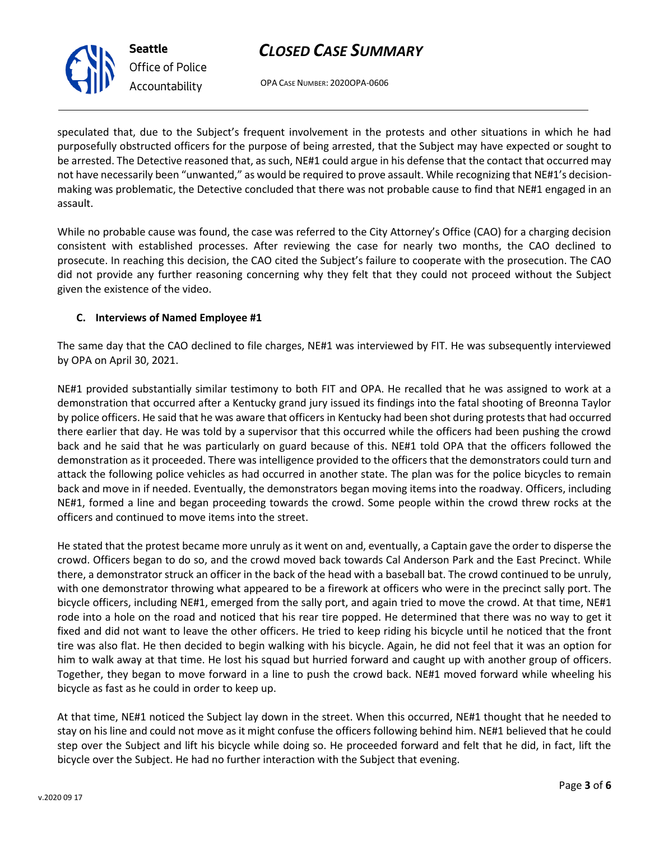OPA CASE NUMBER: 2020OPA-0606

speculated that, due to the Subject's frequent involvement in the protests and other situations in which he had purposefully obstructed officers for the purpose of being arrested, that the Subject may have expected or sought to be arrested. The Detective reasoned that, as such, NE#1 could argue in his defense that the contact that occurred may not have necessarily been "unwanted," as would be required to prove assault. While recognizing that NE#1's decisionmaking was problematic, the Detective concluded that there was not probable cause to find that NE#1 engaged in an assault.

While no probable cause was found, the case was referred to the City Attorney's Office (CAO) for a charging decision consistent with established processes. After reviewing the case for nearly two months, the CAO declined to prosecute. In reaching this decision, the CAO cited the Subject's failure to cooperate with the prosecution. The CAO did not provide any further reasoning concerning why they felt that they could not proceed without the Subject given the existence of the video.

## **C. Interviews of Named Employee #1**

The same day that the CAO declined to file charges, NE#1 was interviewed by FIT. He was subsequently interviewed by OPA on April 30, 2021.

NE#1 provided substantially similar testimony to both FIT and OPA. He recalled that he was assigned to work at a demonstration that occurred after a Kentucky grand jury issued its findings into the fatal shooting of Breonna Taylor by police officers. He said that he was aware that officers in Kentucky had been shot during protests that had occurred there earlier that day. He was told by a supervisor that this occurred while the officers had been pushing the crowd back and he said that he was particularly on guard because of this. NE#1 told OPA that the officers followed the demonstration as it proceeded. There was intelligence provided to the officers that the demonstrators could turn and attack the following police vehicles as had occurred in another state. The plan was for the police bicycles to remain back and move in if needed. Eventually, the demonstrators began moving items into the roadway. Officers, including NE#1, formed a line and began proceeding towards the crowd. Some people within the crowd threw rocks at the officers and continued to move items into the street.

He stated that the protest became more unruly as it went on and, eventually, a Captain gave the order to disperse the crowd. Officers began to do so, and the crowd moved back towards Cal Anderson Park and the East Precinct. While there, a demonstrator struck an officer in the back of the head with a baseball bat. The crowd continued to be unruly, with one demonstrator throwing what appeared to be a firework at officers who were in the precinct sally port. The bicycle officers, including NE#1, emerged from the sally port, and again tried to move the crowd. At that time, NE#1 rode into a hole on the road and noticed that his rear tire popped. He determined that there was no way to get it fixed and did not want to leave the other officers. He tried to keep riding his bicycle until he noticed that the front tire was also flat. He then decided to begin walking with his bicycle. Again, he did not feel that it was an option for him to walk away at that time. He lost his squad but hurried forward and caught up with another group of officers. Together, they began to move forward in a line to push the crowd back. NE#1 moved forward while wheeling his bicycle as fast as he could in order to keep up.

At that time, NE#1 noticed the Subject lay down in the street. When this occurred, NE#1 thought that he needed to stay on his line and could not move as it might confuse the officers following behind him. NE#1 believed that he could step over the Subject and lift his bicycle while doing so. He proceeded forward and felt that he did, in fact, lift the bicycle over the Subject. He had no further interaction with the Subject that evening.



**Seattle**

*Office of Police Accountability*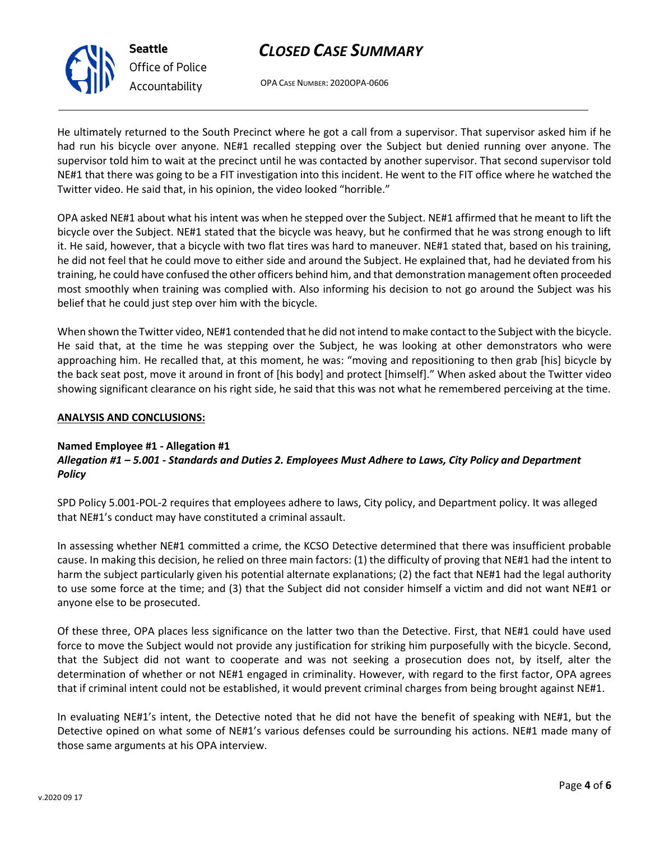OPA CASE NUMBER: 2020OPA-0606

He ultimately returned to the South Precinct where he got a call from a supervisor. That supervisor asked him if he had run his bicycle over anyone. NE#1 recalled stepping over the Subject but denied running over anyone. The supervisor told him to wait at the precinct until he was contacted by another supervisor. That second supervisor told NE#1 that there was going to be a FIT investigation into this incident. He went to the FIT office where he watched the Twitter video. He said that, in his opinion, the video looked "horrible."

OPA asked NE#1 about what his intent was when he stepped over the Subject. NE#1 affirmed that he meant to lift the bicycle over the Subject. NE#1 stated that the bicycle was heavy, but he confirmed that he was strong enough to lift it. He said, however, that a bicycle with two flat tires was hard to maneuver. NE#1 stated that, based on his training, he did not feel that he could move to either side and around the Subject. He explained that, had he deviated from his training, he could have confused the other officers behind him, and that demonstration management often proceeded most smoothly when training was complied with. Also informing his decision to not go around the Subject was his belief that he could just step over him with the bicycle.

When shown the Twitter video, NE#1 contended that he did not intend to make contact to the Subject with the bicycle. He said that, at the time he was stepping over the Subject, he was looking at other demonstrators who were approaching him. He recalled that, at this moment, he was: "moving and repositioning to then grab [his] bicycle by the back seat post, move it around in front of [his body] and protect [himself]." When asked about the Twitter video showing significant clearance on his right side, he said that this was not what he remembered perceiving at the time.

### **ANALYSIS AND CONCLUSIONS:**

### **Named Employee #1 - Allegation #1**

## *Allegation #1 – 5.001 - Standards and Duties 2. Employees Must Adhere to Laws, City Policy and Department Policy*

SPD Policy 5.001-POL-2 requires that employees adhere to laws, City policy, and Department policy. It was alleged that NE#1's conduct may have constituted a criminal assault.

In assessing whether NE#1 committed a crime, the KCSO Detective determined that there was insufficient probable cause. In making this decision, he relied on three main factors: (1) the difficulty of proving that NE#1 had the intent to harm the subject particularly given his potential alternate explanations; (2) the fact that NE#1 had the legal authority to use some force at the time; and (3) that the Subject did not consider himself a victim and did not want NE#1 or anyone else to be prosecuted.

Of these three, OPA places less significance on the latter two than the Detective. First, that NE#1 could have used force to move the Subject would not provide any justification for striking him purposefully with the bicycle. Second, that the Subject did not want to cooperate and was not seeking a prosecution does not, by itself, alter the determination of whether or not NE#1 engaged in criminality. However, with regard to the first factor, OPA agrees that if criminal intent could not be established, it would prevent criminal charges from being brought against NE#1.

In evaluating NE#1's intent, the Detective noted that he did not have the benefit of speaking with NE#1, but the Detective opined on what some of NE#1's various defenses could be surrounding his actions. NE#1 made many of those same arguments at his OPA interview.



**Seattle** *Office of Police Accountability*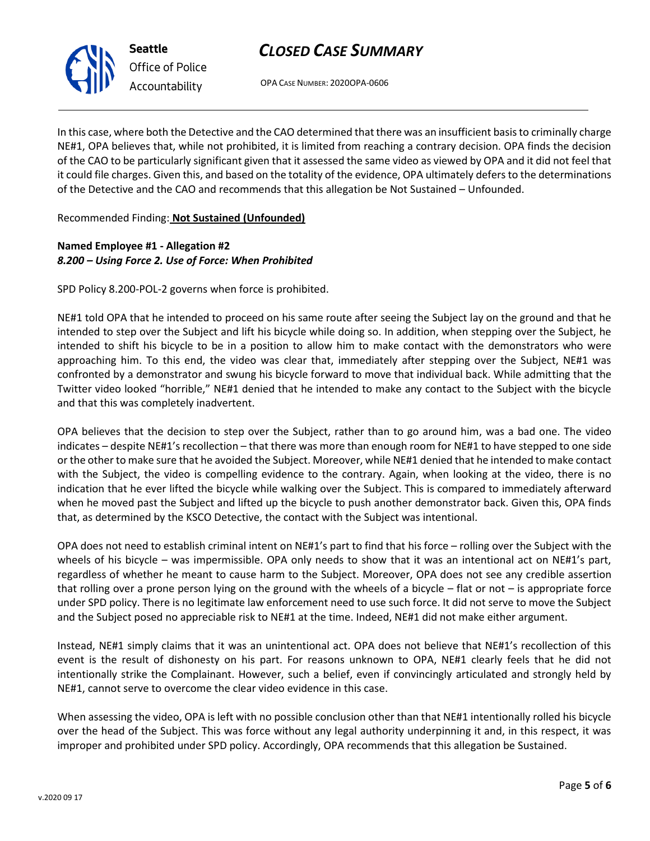

*Office of Police Accountability*

# *CLOSED CASE SUMMARY*

OPA CASE NUMBER: 2020OPA-0606

In this case, where both the Detective and the CAO determined that there was an insufficient basis to criminally charge NE#1, OPA believes that, while not prohibited, it is limited from reaching a contrary decision. OPA finds the decision of the CAO to be particularly significant given that it assessed the same video as viewed by OPA and it did not feel that it could file charges. Given this, and based on the totality of the evidence, OPA ultimately defers to the determinations of the Detective and the CAO and recommends that this allegation be Not Sustained – Unfounded.

Recommended Finding: **Not Sustained (Unfounded)**

# **Named Employee #1 - Allegation #2** *8.200 – Using Force 2. Use of Force: When Prohibited*

SPD Policy 8.200-POL-2 governs when force is prohibited.

NE#1 told OPA that he intended to proceed on his same route after seeing the Subject lay on the ground and that he intended to step over the Subject and lift his bicycle while doing so. In addition, when stepping over the Subject, he intended to shift his bicycle to be in a position to allow him to make contact with the demonstrators who were approaching him. To this end, the video was clear that, immediately after stepping over the Subject, NE#1 was confronted by a demonstrator and swung his bicycle forward to move that individual back. While admitting that the Twitter video looked "horrible," NE#1 denied that he intended to make any contact to the Subject with the bicycle and that this was completely inadvertent.

OPA believes that the decision to step over the Subject, rather than to go around him, was a bad one. The video indicates – despite NE#1's recollection – that there was more than enough room for NE#1 to have stepped to one side or the other to make sure that he avoided the Subject. Moreover, while NE#1 denied that he intended to make contact with the Subject, the video is compelling evidence to the contrary. Again, when looking at the video, there is no indication that he ever lifted the bicycle while walking over the Subject. This is compared to immediately afterward when he moved past the Subject and lifted up the bicycle to push another demonstrator back. Given this, OPA finds that, as determined by the KSCO Detective, the contact with the Subject was intentional.

OPA does not need to establish criminal intent on NE#1's part to find that his force – rolling over the Subject with the wheels of his bicycle – was impermissible. OPA only needs to show that it was an intentional act on NE#1's part, regardless of whether he meant to cause harm to the Subject. Moreover, OPA does not see any credible assertion that rolling over a prone person lying on the ground with the wheels of a bicycle – flat or not – is appropriate force under SPD policy. There is no legitimate law enforcement need to use such force. It did not serve to move the Subject and the Subject posed no appreciable risk to NE#1 at the time. Indeed, NE#1 did not make either argument.

Instead, NE#1 simply claims that it was an unintentional act. OPA does not believe that NE#1's recollection of this event is the result of dishonesty on his part. For reasons unknown to OPA, NE#1 clearly feels that he did not intentionally strike the Complainant. However, such a belief, even if convincingly articulated and strongly held by NE#1, cannot serve to overcome the clear video evidence in this case.

When assessing the video, OPA is left with no possible conclusion other than that NE#1 intentionally rolled his bicycle over the head of the Subject. This was force without any legal authority underpinning it and, in this respect, it was improper and prohibited under SPD policy. Accordingly, OPA recommends that this allegation be Sustained.